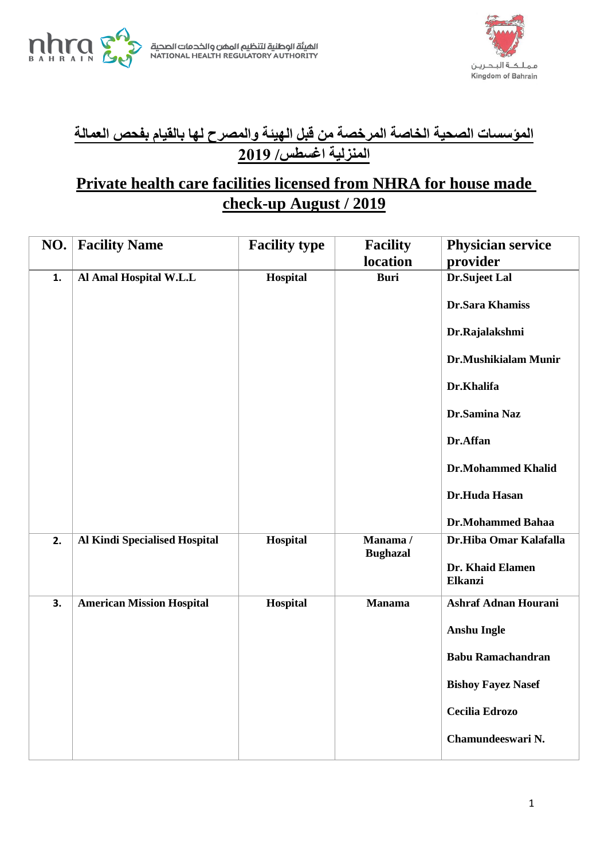





## **المؤسسات الصحية الخاصة المرخصة من قبل الهيئة والمصرح لها بالقيام بفحص العمالة المنزلية اغسطس/ 9102**

## **Private health care facilities licensed from NHRA for house made check-up August / 2019**

| NO. | <b>Facility Name</b>                 | <b>Facility type</b> | <b>Facility</b>            | <b>Physician service</b>    |
|-----|--------------------------------------|----------------------|----------------------------|-----------------------------|
|     |                                      |                      | location                   | provider                    |
| 1.  | Al Amal Hospital W.L.L               | Hospital             | <b>Buri</b>                | Dr.Sujeet Lal               |
|     |                                      |                      |                            | <b>Dr.Sara Khamiss</b>      |
|     |                                      |                      |                            | Dr.Rajalakshmi              |
|     |                                      |                      |                            | Dr.Mushikialam Munir        |
|     |                                      |                      |                            | Dr.Khalifa                  |
|     |                                      |                      |                            | Dr.Samina Naz               |
|     |                                      |                      |                            | Dr.Affan                    |
|     |                                      |                      |                            | <b>Dr.Mohammed Khalid</b>   |
|     |                                      |                      |                            | Dr.Huda Hasan               |
|     |                                      |                      |                            | <b>Dr.Mohammed Bahaa</b>    |
| 2.  | <b>Al Kindi Specialised Hospital</b> | Hospital             | Manama/<br><b>Bughazal</b> | Dr.Hiba Omar Kalafalla      |
|     |                                      |                      |                            | Dr. Khaid Elamen<br>Elkanzi |
| 3.  | <b>American Mission Hospital</b>     | Hospital             | <b>Manama</b>              | <b>Ashraf Adnan Hourani</b> |
|     |                                      |                      |                            | <b>Anshu Ingle</b>          |
|     |                                      |                      |                            | <b>Babu Ramachandran</b>    |
|     |                                      |                      |                            | <b>Bishoy Fayez Nasef</b>   |
|     |                                      |                      |                            | <b>Cecilia Edrozo</b>       |
|     |                                      |                      |                            | Chamundeeswari N.           |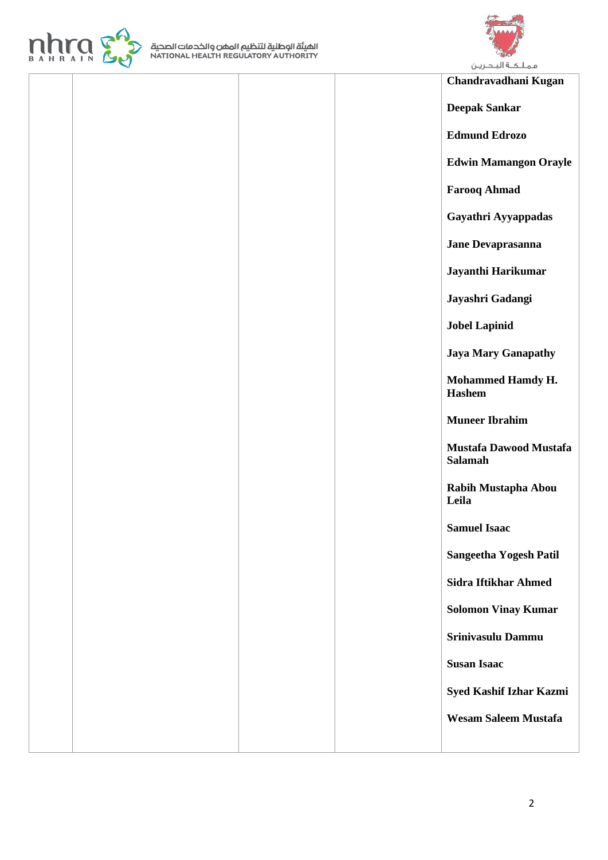



## **Chandravadhani Kugan**

**Deepak Sankar** 

**Edmund Edrozo** 

**Edwin Mamangon Orayle** 

**Farooq Ahmad** 

**Gayathri Ayyappadas** 

**Jane Devaprasanna** 

**Jayanthi Harikumar** 

**Jayashri Gadangi** 

**Jobel Lapinid** 

**Jaya Mary Ganapathy** 

**Mohammed Hamdy H. Hashem** 

**Muneer Ibrahim** 

**Mustafa Dawood Mustafa Salamah** 

**Rabih Mustapha Abou Leila** 

**Samuel Isaac** 

**Sangeetha Yogesh Patil** 

**Sidra Iftikhar Ahmed** 

**Solomon Vinay Kumar**

**Srinivasulu Dammu** 

**Susan Isaac** 

**Syed Kashif Izhar Kazmi** 

**Wesam Saleem Mustafa**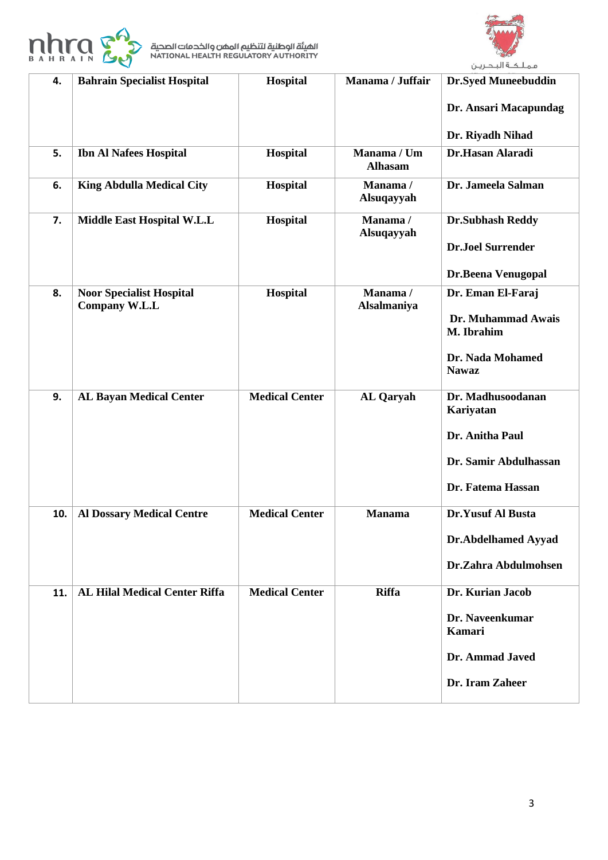



| 4.  | <b>Bahrain Specialist Hospital</b>                      | <b>Hospital</b>       | Manama / Juffair              | <b>Dr.Syed Muneebuddin</b>       |
|-----|---------------------------------------------------------|-----------------------|-------------------------------|----------------------------------|
|     |                                                         |                       |                               | Dr. Ansari Macapundag            |
|     |                                                         |                       |                               | Dr. Riyadh Nihad                 |
| 5.  | <b>Ibn Al Nafees Hospital</b>                           | Hospital              | Manama / Um<br><b>Alhasam</b> | Dr.Hasan Alaradi                 |
| 6.  | <b>King Abdulla Medical City</b>                        | Hospital              | Manama/<br>Alsuqayyah         | Dr. Jameela Salman               |
| 7.  | Middle East Hospital W.L.L                              | Hospital              | Manama/<br>Alsuqayyah         | <b>Dr.Subhash Reddy</b>          |
|     |                                                         |                       |                               | <b>Dr.Joel Surrender</b>         |
|     |                                                         |                       |                               | Dr.Beena Venugopal               |
| 8.  | <b>Noor Specialist Hospital</b><br><b>Company W.L.L</b> | Hospital              | Manama/<br>Alsalmaniya        | Dr. Eman El-Faraj                |
|     |                                                         |                       |                               | Dr. Muhammad Awais<br>M. Ibrahim |
|     |                                                         |                       |                               | Dr. Nada Mohamed<br><b>Nawaz</b> |
| 9.  | <b>AL Bayan Medical Center</b>                          | <b>Medical Center</b> | <b>AL</b> Qaryah              | Dr. Madhusoodanan                |
|     |                                                         |                       |                               | Kariyatan                        |
|     |                                                         |                       |                               | Dr. Anitha Paul                  |
|     |                                                         |                       |                               | Dr. Samir Abdulhassan            |
|     |                                                         |                       |                               | Dr. Fatema Hassan                |
| 10. | <b>Al Dossary Medical Centre</b>                        | <b>Medical Center</b> | <b>Manama</b>                 | <b>Dr.Yusuf Al Busta</b>         |
|     |                                                         |                       |                               | Dr.Abdelhamed Ayyad              |
|     |                                                         |                       |                               | Dr.Zahra Abdulmohsen             |
| 11. | <b>AL Hilal Medical Center Riffa</b>                    | <b>Medical Center</b> | <b>Riffa</b>                  | Dr. Kurian Jacob                 |
|     |                                                         |                       |                               | Dr. Naveenkumar<br>Kamari        |
|     |                                                         |                       |                               | Dr. Ammad Javed                  |
|     |                                                         |                       |                               | Dr. Iram Zaheer                  |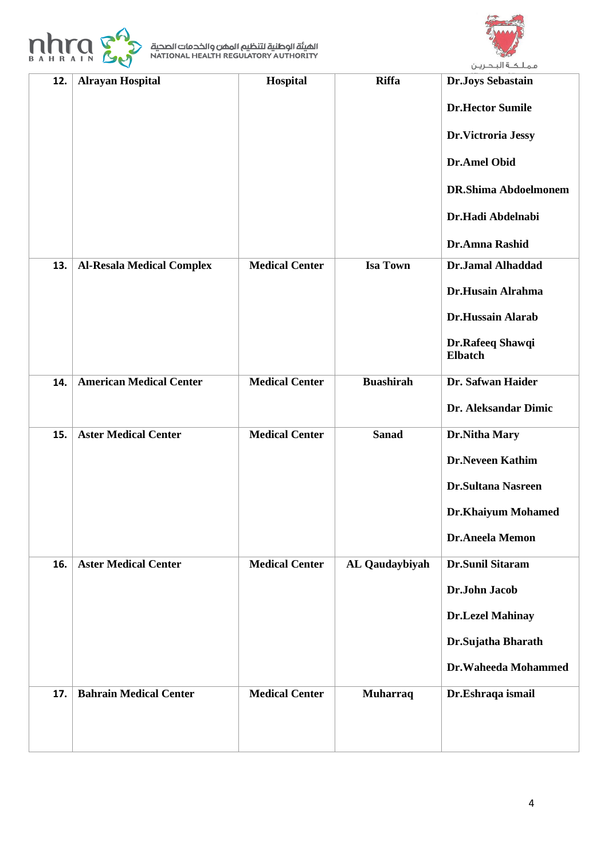



| 12. | <b>Alrayan Hospital</b>          | Hospital              | <b>Riffa</b>     | <b>Dr.Joys Sebastain</b>           |
|-----|----------------------------------|-----------------------|------------------|------------------------------------|
|     |                                  |                       |                  | <b>Dr.Hector Sumile</b>            |
|     |                                  |                       |                  | Dr.Victroria Jessy                 |
|     |                                  |                       |                  | <b>Dr.Amel Obid</b>                |
|     |                                  |                       |                  | <b>DR.Shima Abdoelmonem</b>        |
|     |                                  |                       |                  | Dr.Hadi Abdelnabi                  |
|     |                                  |                       |                  | Dr.Amna Rashid                     |
| 13. | <b>Al-Resala Medical Complex</b> | <b>Medical Center</b> | <b>Isa Town</b>  | <b>Dr.Jamal Alhaddad</b>           |
|     |                                  |                       |                  | <b>Dr.Husain Alrahma</b>           |
|     |                                  |                       |                  | Dr.Hussain Alarab                  |
|     |                                  |                       |                  | Dr.Rafeeq Shawqi<br><b>Elbatch</b> |
| 14. | <b>American Medical Center</b>   | <b>Medical Center</b> | <b>Buashirah</b> | Dr. Safwan Haider                  |
|     |                                  |                       |                  | Dr. Aleksandar Dimic               |
| 15. | <b>Aster Medical Center</b>      | <b>Medical Center</b> | <b>Sanad</b>     | Dr.Nitha Mary                      |
|     |                                  |                       |                  | <b>Dr.Neveen Kathim</b>            |
|     |                                  |                       |                  | <b>Dr.Sultana Nasreen</b>          |
|     |                                  |                       |                  | <b>Dr.Khaiyum Mohamed</b>          |
|     |                                  |                       |                  | Dr.Aneela Memon                    |
| 16. | <b>Aster Medical Center</b>      | <b>Medical Center</b> | AL Qaudaybiyah   | Dr.Sunil Sitaram                   |
|     |                                  |                       |                  | Dr.John Jacob                      |
|     |                                  |                       |                  | <b>Dr.Lezel Mahinay</b>            |
|     |                                  |                       |                  | Dr.Sujatha Bharath                 |
|     |                                  |                       |                  | Dr.Waheeda Mohammed                |
| 17. | <b>Bahrain Medical Center</b>    | <b>Medical Center</b> | <b>Muharraq</b>  | Dr.Eshraqa ismail                  |
|     |                                  |                       |                  |                                    |
|     |                                  |                       |                  |                                    |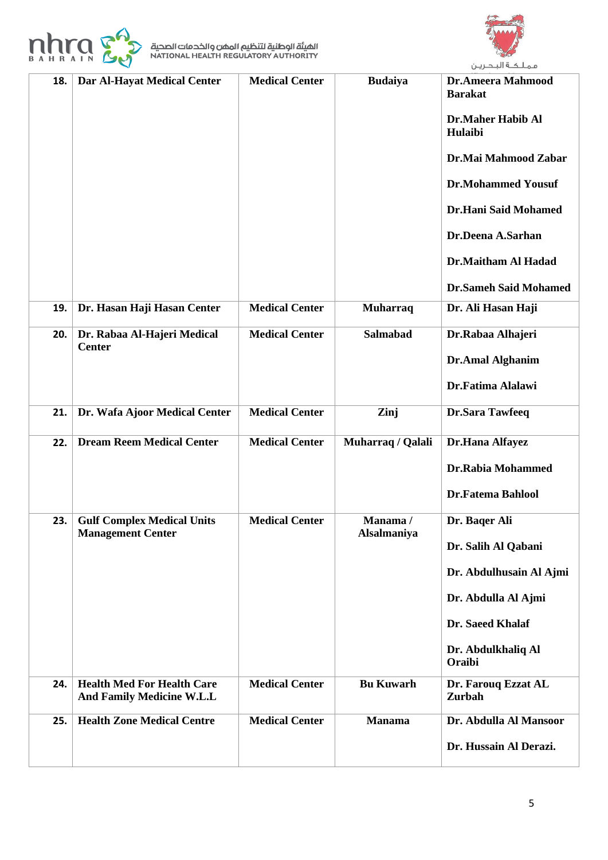



| 18. | Dar Al-Hayat Medical Center                                    | <b>Medical Center</b> | <b>Budaiya</b>         | <b>Dr.Ameera Mahmood</b><br><b>Barakat</b><br><b>Dr.Maher Habib Al</b><br>Hulaibi<br>Dr.Mai Mahmood Zabar<br><b>Dr.Mohammed Yousuf</b><br><b>Dr.Hani Said Mohamed</b><br>Dr.Deena A.Sarhan<br>Dr.Maitham Al Hadad<br><b>Dr.Sameh Said Mohamed</b> |
|-----|----------------------------------------------------------------|-----------------------|------------------------|---------------------------------------------------------------------------------------------------------------------------------------------------------------------------------------------------------------------------------------------------|
| 19. | Dr. Hasan Haji Hasan Center                                    | <b>Medical Center</b> | <b>Muharraq</b>        | Dr. Ali Hasan Haji                                                                                                                                                                                                                                |
| 20. | Dr. Rabaa Al-Hajeri Medical<br><b>Center</b>                   | <b>Medical Center</b> | <b>Salmabad</b>        | Dr.Rabaa Alhajeri<br><b>Dr.Amal Alghanim</b><br>Dr.Fatima Alalawi                                                                                                                                                                                 |
| 21. | Dr. Wafa Ajoor Medical Center                                  | <b>Medical Center</b> | Zinj                   | <b>Dr.Sara Tawfeeq</b>                                                                                                                                                                                                                            |
| 22. | <b>Dream Reem Medical Center</b>                               | <b>Medical Center</b> | Muharraq / Qalali      | Dr.Hana Alfayez<br>Dr.Rabia Mohammed<br><b>Dr.Fatema Bahlool</b>                                                                                                                                                                                  |
| 23. | <b>Gulf Complex Medical Units</b><br><b>Management Center</b>  | <b>Medical Center</b> | Manama/<br>Alsalmaniya | Dr. Baqer Ali<br>Dr. Salih Al Qabani<br>Dr. Abdulhusain Al Ajmi<br>Dr. Abdulla Al Ajmi<br>Dr. Saeed Khalaf<br>Dr. Abdulkhaliq Al<br>Oraibi                                                                                                        |
| 24. | <b>Health Med For Health Care</b><br>And Family Medicine W.L.L | <b>Medical Center</b> | <b>Bu Kuwarh</b>       | Dr. Farouq Ezzat AL<br>Zurbah                                                                                                                                                                                                                     |
| 25. | <b>Health Zone Medical Centre</b>                              | <b>Medical Center</b> | <b>Manama</b>          | Dr. Abdulla Al Mansoor<br>Dr. Hussain Al Derazi.                                                                                                                                                                                                  |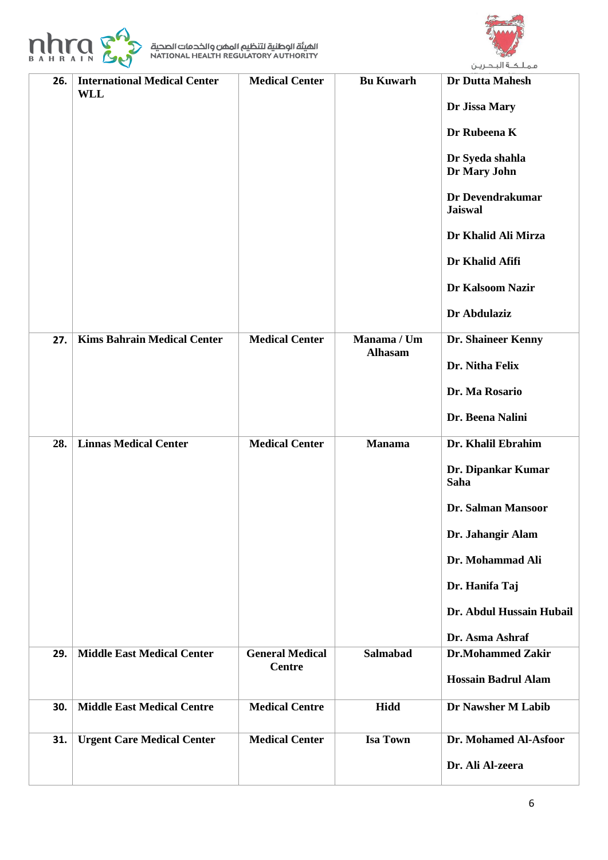



|     |                                                   |                                         |                               | ىمىسە سىسريىن                                                                                                                                                                                                  |
|-----|---------------------------------------------------|-----------------------------------------|-------------------------------|----------------------------------------------------------------------------------------------------------------------------------------------------------------------------------------------------------------|
| 26. | <b>International Medical Center</b><br><b>WLL</b> | <b>Medical Center</b>                   | <b>Bu Kuwarh</b>              | <b>Dr Dutta Mahesh</b><br>Dr Jissa Mary<br>Dr Rubeena K<br>Dr Syeda shahla<br>Dr Mary John<br>Dr Devendrakumar<br><b>Jaiswal</b><br>Dr Khalid Ali Mirza<br>Dr Khalid Afifi<br>Dr Kalsoom Nazir<br>Dr Abdulaziz |
| 27. | <b>Kims Bahrain Medical Center</b>                | <b>Medical Center</b>                   | Manama / Um<br><b>Alhasam</b> | <b>Dr. Shaineer Kenny</b><br>Dr. Nitha Felix<br>Dr. Ma Rosario<br>Dr. Beena Nalini                                                                                                                             |
| 28. | <b>Linnas Medical Center</b>                      | <b>Medical Center</b>                   | <b>Manama</b>                 | Dr. Khalil Ebrahim<br>Dr. Dipankar Kumar<br>Saha<br>Dr. Salman Mansoor<br>Dr. Jahangir Alam<br>Dr. Mohammad Ali<br>Dr. Hanifa Taj<br>Dr. Abdul Hussain Hubail<br>Dr. Asma Ashraf                               |
| 29. | <b>Middle East Medical Center</b>                 | <b>General Medical</b><br><b>Centre</b> | <b>Salmabad</b>               | <b>Dr.Mohammed Zakir</b><br><b>Hossain Badrul Alam</b>                                                                                                                                                         |
| 30. | <b>Middle East Medical Centre</b>                 | <b>Medical Centre</b>                   | <b>Hidd</b>                   | Dr Nawsher M Labib                                                                                                                                                                                             |
| 31. | <b>Urgent Care Medical Center</b>                 | <b>Medical Center</b>                   | <b>Isa Town</b>               | Dr. Mohamed Al-Asfoor<br>Dr. Ali Al-zeera                                                                                                                                                                      |